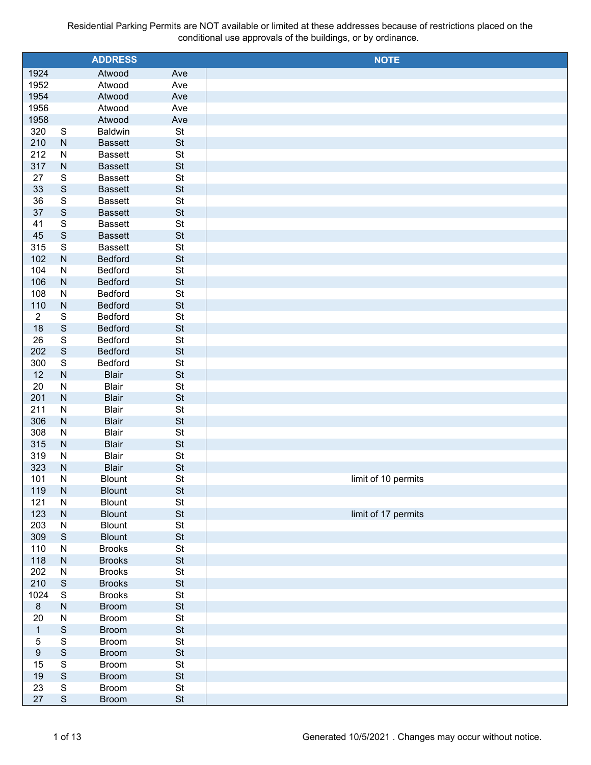|                  |                         | <b>ADDRESS</b>          |                 | <b>NOTE</b>         |
|------------------|-------------------------|-------------------------|-----------------|---------------------|
| 1924             |                         | Atwood                  | Ave             |                     |
| 1952             |                         | Atwood                  | Ave             |                     |
| 1954             |                         | Atwood                  | Ave             |                     |
| 1956             |                         | Atwood                  | Ave             |                     |
| 1958             |                         | Atwood                  | Ave             |                     |
| 320              | ${\mathbb S}$           | <b>Baldwin</b>          | St              |                     |
| 210              | ${\sf N}$               | <b>Bassett</b>          | <b>St</b>       |                     |
| 212              | ${\sf N}$               | <b>Bassett</b>          | St              |                     |
| 317              | ${\sf N}$               | <b>Bassett</b>          | <b>St</b>       |                     |
| 27               | ${\mathbb S}$           | <b>Bassett</b>          | St              |                     |
| 33               | $\mathsf S$             | <b>Bassett</b>          | <b>St</b>       |                     |
| 36               | $\mathbf S$             | <b>Bassett</b>          | St              |                     |
| 37               | $\mathsf S$             | <b>Bassett</b>          | <b>St</b>       |                     |
| 41               | $\mathbf S$             | <b>Bassett</b>          | St              |                     |
| 45               | $\mathbf S$             | <b>Bassett</b>          | <b>St</b>       |                     |
| 315              | $\mathbf S$             | <b>Bassett</b>          | St              |                     |
| 102              | ${\sf N}$               | <b>Bedford</b>          | <b>St</b>       |                     |
| 104              | ${\sf N}$               | Bedford                 | St              |                     |
| 106              | ${\sf N}$               | <b>Bedford</b>          | <b>St</b>       |                     |
| 108              | ${\sf N}$               | Bedford                 | St              |                     |
| 110              | ${\sf N}$               | <b>Bedford</b>          | <b>St</b>       |                     |
| $\overline{2}$   | ${\mathbb S}$           | Bedford                 | St              |                     |
| 18               | $\mathsf S$             | <b>Bedford</b>          | <b>St</b>       |                     |
| 26               | $\mathbf S$             | Bedford                 | St              |                     |
| 202              | $\mathbf S$             | <b>Bedford</b>          | <b>St</b>       |                     |
| 300              | $\overline{\mathbb{S}}$ | <b>Bedford</b>          | St              |                     |
| 12               | ${\sf N}$               | <b>Blair</b>            | <b>St</b>       |                     |
| 20               | ${\sf N}$               | <b>Blair</b>            | St              |                     |
| 201              | ${\sf N}$               | <b>Blair</b>            | <b>St</b>       |                     |
| 211              | ${\sf N}$               | <b>Blair</b>            | St              |                     |
| 306              | ${\sf N}$               | <b>Blair</b>            | <b>St</b>       |                     |
| 308              | ${\sf N}$               | <b>Blair</b>            | St              |                     |
| 315              | ${\sf N}$               | <b>Blair</b>            | <b>St</b>       |                     |
| 319              | N                       | <b>Blair</b>            | St              |                     |
| 323              | ${\sf N}$               | <b>Blair</b>            | <b>St</b>       |                     |
| 101<br>119       | ${\sf N}$<br>${\sf N}$  | <b>Blount</b>           | St<br><b>St</b> | limit of 10 permits |
| 121              | ${\sf N}$               | <b>Blount</b><br>Blount | St              |                     |
| 123              | ${\sf N}$               | <b>Blount</b>           | <b>St</b>       | limit of 17 permits |
| 203              | ${\sf N}$               | Blount                  | St              |                     |
| 309              | $\mathbf S$             | <b>Blount</b>           | <b>St</b>       |                     |
| 110              | ${\sf N}$               | <b>Brooks</b>           | <b>St</b>       |                     |
| 118              | ${\sf N}$               | <b>Brooks</b>           | <b>St</b>       |                     |
| 202              | ${\sf N}$               | <b>Brooks</b>           | St              |                     |
| 210              | $\mathsf S$             | <b>Brooks</b>           | <b>St</b>       |                     |
| 1024             | $\mathbf S$             | <b>Brooks</b>           | St              |                     |
| $\bf 8$          | ${\sf N}$               | <b>Broom</b>            | <b>St</b>       |                     |
| 20               | ${\sf N}$               | Broom                   | <b>St</b>       |                     |
| $\mathbf{1}$     | $\mathsf S$             | <b>Broom</b>            | <b>St</b>       |                     |
| $\sqrt{5}$       | ${\mathsf S}$           | Broom                   | <b>St</b>       |                     |
| $\boldsymbol{9}$ | $\mathsf S$             | <b>Broom</b>            | <b>St</b>       |                     |
| 15               | ${\mathsf S}$           | Broom                   | St              |                     |
| 19               | $\mathsf S$             | <b>Broom</b>            | <b>St</b>       |                     |
| 23               | ${\mathsf S}$           | Broom                   | <b>St</b>       |                     |
| $27\,$           | ${\mathsf S}$           | <b>Broom</b>            | <b>St</b>       |                     |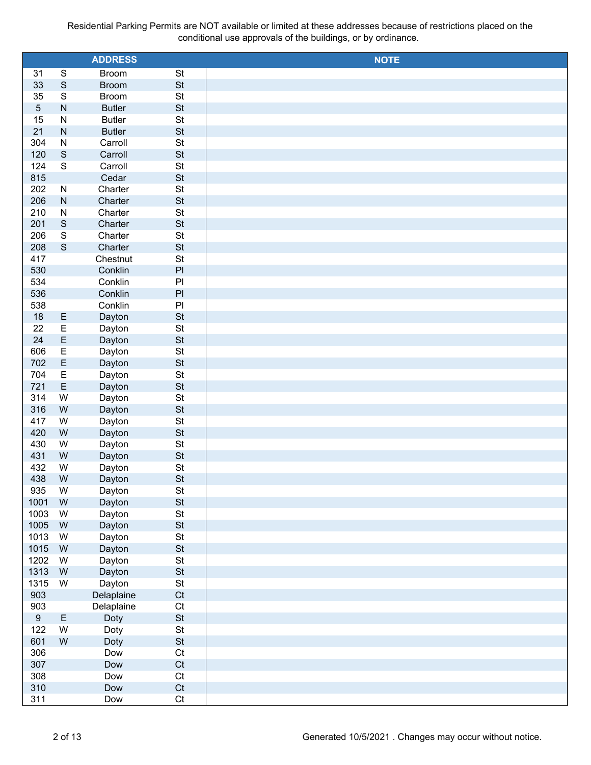|                  |                         | <b>ADDRESS</b> |                | <b>NOTE</b> |
|------------------|-------------------------|----------------|----------------|-------------|
| 31               | ${\mathsf S}$           | <b>Broom</b>   | St             |             |
| 33               | $\mathsf S$             | <b>Broom</b>   | <b>St</b>      |             |
| 35               | $\mathsf S$             | <b>Broom</b>   | St             |             |
| $\sqrt{5}$       | ${\sf N}$               | <b>Butler</b>  | <b>St</b>      |             |
| 15               | ${\sf N}$               | <b>Butler</b>  | St             |             |
| 21               | ${\sf N}$               | <b>Butler</b>  | St             |             |
| 304              | ${\sf N}$               | Carroll        | St             |             |
| 120              | $\mathbf S$             | Carroll        | St             |             |
| 124              | $\overline{\mathbf{s}}$ | Carroll        | St             |             |
| 815              |                         | Cedar          | St             |             |
| 202              | N                       | Charter        | St             |             |
| 206              | ${\sf N}$               | Charter        | St             |             |
| 210              | ${\sf N}$               | Charter        | St             |             |
| 201              | $\mathbf S$             | Charter        | <b>St</b>      |             |
| 206              | $\mathsf S$             | Charter        | St             |             |
| 208              | $\mathbf S$             | Charter        | <b>St</b>      |             |
| 417              |                         | Chestnut       | St             |             |
| 530              |                         | Conklin        | $\mathsf{Pl}$  |             |
| 534              |                         | Conklin        | $\mathsf{Pl}$  |             |
| 536              |                         | Conklin        | $\mathsf{Pl}$  |             |
| 538              |                         | Conklin        | PI             |             |
| 18               | E                       | Dayton         | <b>St</b>      |             |
| 22               | E                       | Dayton         | St             |             |
| 24               | $\mathsf E$             | Dayton         | St             |             |
| 606              | $\mathsf E$             | Dayton         | St             |             |
| 702              | $\mathsf E$             | Dayton         | <b>St</b>      |             |
| 704              | E                       | Dayton         | St             |             |
| 721              | E                       | Dayton         | <b>St</b>      |             |
| 314              | W                       | Dayton         | St             |             |
| 316              | ${\sf W}$               | Dayton         | St             |             |
| 417              | W                       | Dayton         | St             |             |
| 420              | ${\sf W}$               | Dayton         | St             |             |
| 430              | W                       | Dayton         | St             |             |
| 431              | ${\sf W}$               | Dayton         | <b>St</b>      |             |
| 432              | ${\sf W}$               | Dayton         | St             |             |
| 438              | W                       | Dayton         | <b>St</b>      |             |
| 935              | W                       | Dayton         | St             |             |
| 1001             | ${\sf W}$               | Dayton         | <b>St</b>      |             |
| 1003             | W                       | Dayton         | $\mathsf{St}$  |             |
| 1005             | ${\sf W}$               | Dayton         | <b>St</b>      |             |
| 1013             | W                       | Dayton         | $\mathsf{St}$  |             |
| 1015             | ${\sf W}$               | Dayton         | <b>St</b>      |             |
| 1202             | W                       | Dayton         | $\mathsf{St}$  |             |
| 1313             | ${\sf W}$               | Dayton         | <b>St</b>      |             |
| 1315             | W                       | Dayton         | $\mathsf{St}$  |             |
| 903              |                         | Delaplaine     | C <sub>t</sub> |             |
| 903              |                         | Delaplaine     | Ct             |             |
| $\boldsymbol{9}$ | E                       | Doty           | <b>St</b>      |             |
| 122              | W                       | Doty           | $\mathsf{St}$  |             |
| 601              | ${\sf W}$               | Doty           | <b>St</b>      |             |
| 306              |                         | Dow            | Ct             |             |
| 307              |                         | Dow            | C <sub>t</sub> |             |
| 308              |                         | Dow            | Ct             |             |
| 310              |                         | Dow            | C <sub>t</sub> |             |
|                  |                         | Dow            | Ct             |             |
| 311              |                         |                |                |             |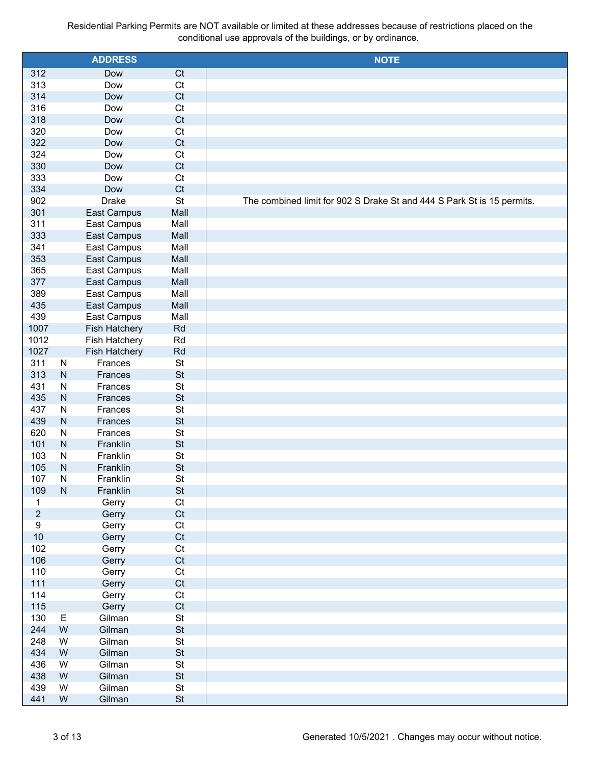|                  |                | <b>ADDRESS</b>       |                | <b>NOTE</b>                                                            |
|------------------|----------------|----------------------|----------------|------------------------------------------------------------------------|
| 312              |                | Dow                  | C <sub>t</sub> |                                                                        |
| 313              |                | Dow                  | C <sub>t</sub> |                                                                        |
| 314              |                | Dow                  | C <sub>t</sub> |                                                                        |
| 316              |                | Dow                  | C <sub>t</sub> |                                                                        |
| 318              |                | Dow                  | C <sub>t</sub> |                                                                        |
| 320              |                | Dow                  | Ct             |                                                                        |
| 322              |                | Dow                  | C <sub>t</sub> |                                                                        |
| 324              |                | Dow                  | Ct             |                                                                        |
| 330              |                | Dow                  | C <sub>t</sub> |                                                                        |
| 333              |                | Dow                  | Ct             |                                                                        |
| 334              |                | Dow                  | C <sub>t</sub> |                                                                        |
| 902              |                | <b>Drake</b>         | <b>St</b>      | The combined limit for 902 S Drake St and 444 S Park St is 15 permits. |
| 301              |                | East Campus          | Mall           |                                                                        |
| 311              |                | East Campus          | Mall           |                                                                        |
| 333              |                | East Campus          | Mall           |                                                                        |
| 341              |                | East Campus          | Mall           |                                                                        |
| 353              |                | East Campus          | Mall           |                                                                        |
| 365              |                | East Campus          | Mall           |                                                                        |
| 377              |                | East Campus          | Mall           |                                                                        |
| 389              |                | East Campus          | Mall           |                                                                        |
| 435              |                | East Campus          | Mall           |                                                                        |
| 439              |                | East Campus          | Mall           |                                                                        |
| 1007             |                | Fish Hatchery        | Rd             |                                                                        |
| 1012             |                | Fish Hatchery        | Rd             |                                                                        |
| 1027             |                | <b>Fish Hatchery</b> | Rd             |                                                                        |
| 311              | $\mathsf{N}$   | Frances              | St             |                                                                        |
| 313              | $\mathsf{N}$   | Frances              | <b>St</b>      |                                                                        |
| 431              | ${\sf N}$      | Frances              | St             |                                                                        |
| 435              | $\mathsf{N}$   | Frances              | <b>St</b>      |                                                                        |
| 437              | ${\sf N}$      | Frances              | <b>St</b>      |                                                                        |
| 439              | $\mathsf{N}$   | Frances              | <b>St</b>      |                                                                        |
| 620              | ${\sf N}$      | Frances              | <b>St</b>      |                                                                        |
| 101              | $\mathsf{N}$   | Franklin             | <b>St</b>      |                                                                        |
| 103              | ${\sf N}$      | Franklin             | <b>St</b>      |                                                                        |
| 105              | $\overline{N}$ | Franklin             | <b>St</b>      |                                                                        |
| 107              | N              | Franklin             | St             |                                                                        |
| 109              | ${\sf N}$      | Franklin             | <b>St</b>      |                                                                        |
| $\mathbf{1}$     |                | Gerry                | Ct             |                                                                        |
| $\overline{c}$   |                | Gerry                | C <sub>t</sub> |                                                                        |
| $\boldsymbol{9}$ |                | Gerry                | Ct             |                                                                        |
| 10               |                | Gerry                | C <sub>t</sub> |                                                                        |
| 102              |                | Gerry                | Ct             |                                                                        |
| 106<br>110       |                | Gerry                | Ct<br>Ct       |                                                                        |
| 111              |                | Gerry                | Ct             |                                                                        |
| 114              |                | Gerry                | Ct             |                                                                        |
| 115              |                | Gerry                | Ct             |                                                                        |
| 130              | Е              | Gerry<br>Gilman      | <b>St</b>      |                                                                        |
| 244              | ${\sf W}$      | Gilman               | St             |                                                                        |
| 248              | W              | Gilman               | <b>St</b>      |                                                                        |
| 434              | ${\sf W}$      | Gilman               | <b>St</b>      |                                                                        |
| 436              | W              | Gilman               | <b>St</b>      |                                                                        |
| 438              | ${\sf W}$      | Gilman               | <b>St</b>      |                                                                        |
| 439              | W              | Gilman               | St             |                                                                        |
| 441              | W              | Gilman               | <b>St</b>      |                                                                        |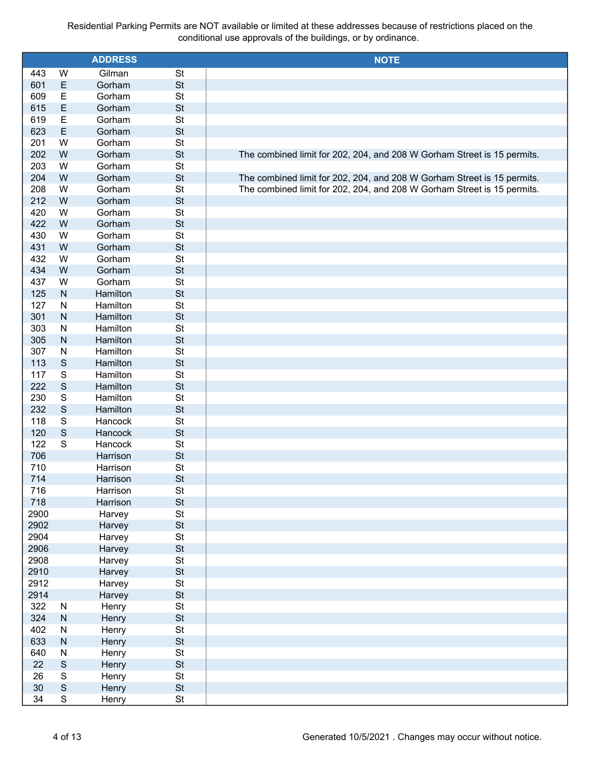|      |               | <b>ADDRESS</b> |           | <b>NOTE</b>                                                             |
|------|---------------|----------------|-----------|-------------------------------------------------------------------------|
| 443  | W             | Gilman         | <b>St</b> |                                                                         |
| 601  | $\mathsf E$   | Gorham         | <b>St</b> |                                                                         |
| 609  | $\mathsf E$   | Gorham         | St        |                                                                         |
| 615  | E             | Gorham         | <b>St</b> |                                                                         |
| 619  | $\mathsf E$   | Gorham         | St        |                                                                         |
| 623  | $\mathsf E$   | Gorham         | <b>St</b> |                                                                         |
| 201  | W             | Gorham         | St        |                                                                         |
| 202  | ${\sf W}$     | Gorham         | <b>St</b> | The combined limit for 202, 204, and 208 W Gorham Street is 15 permits. |
| 203  | W             | Gorham         | St        |                                                                         |
| 204  | ${\sf W}$     | Gorham         | <b>St</b> | The combined limit for 202, 204, and 208 W Gorham Street is 15 permits. |
| 208  | W             | Gorham         | St        | The combined limit for 202, 204, and 208 W Gorham Street is 15 permits. |
| 212  | ${\sf W}$     | Gorham         | <b>St</b> |                                                                         |
| 420  | W             | Gorham         | St        |                                                                         |
| 422  | ${\sf W}$     | Gorham         | <b>St</b> |                                                                         |
| 430  | W             | Gorham         | St        |                                                                         |
| 431  | ${\sf W}$     | Gorham         | <b>St</b> |                                                                         |
| 432  | W             | Gorham         | St        |                                                                         |
| 434  | ${\sf W}$     | Gorham         | <b>St</b> |                                                                         |
| 437  | W             | Gorham         | St        |                                                                         |
| 125  | ${\sf N}$     | Hamilton       | <b>St</b> |                                                                         |
| 127  | ${\sf N}$     | Hamilton       | St        |                                                                         |
| 301  | ${\sf N}$     | Hamilton       | <b>St</b> |                                                                         |
| 303  | ${\sf N}$     | Hamilton       | St        |                                                                         |
| 305  | ${\sf N}$     | Hamilton       | <b>St</b> |                                                                         |
| 307  | ${\sf N}$     | Hamilton       | St        |                                                                         |
| 113  | $\mathsf S$   | Hamilton       | <b>St</b> |                                                                         |
| 117  | $\mathbb S$   | Hamilton       | St        |                                                                         |
| 222  | $\mathsf S$   | Hamilton       | <b>St</b> |                                                                         |
| 230  | $\mathbb S$   | Hamilton       | St        |                                                                         |
| 232  | $\mathsf{S}$  | Hamilton       | <b>St</b> |                                                                         |
| 118  | $\mathbb S$   | Hancock        | St        |                                                                         |
| 120  | $\mathsf{S}$  | Hancock        | <b>St</b> |                                                                         |
| 122  | $\mathbf S$   | Hancock        | St        |                                                                         |
| 706  |               | Harrison       | <b>St</b> |                                                                         |
| 710  |               | Harrison       | St        |                                                                         |
| 714  |               | Harrison       | <b>St</b> |                                                                         |
| 716  |               | Harrison       | <b>St</b> |                                                                         |
| 718  |               | Harrison       | <b>St</b> |                                                                         |
| 2900 |               | Harvey         | St        |                                                                         |
| 2902 |               | Harvey         | <b>St</b> |                                                                         |
| 2904 |               | Harvey         | St        |                                                                         |
| 2906 |               | Harvey         | <b>St</b> |                                                                         |
| 2908 |               | Harvey         | St        |                                                                         |
| 2910 |               | Harvey         | <b>St</b> |                                                                         |
| 2912 |               | Harvey         | St        |                                                                         |
| 2914 |               | Harvey         | <b>St</b> |                                                                         |
| 322  | ${\sf N}$     | Henry          | St        |                                                                         |
| 324  | ${\sf N}$     | Henry          | <b>St</b> |                                                                         |
| 402  | ${\sf N}$     | Henry          | St        |                                                                         |
| 633  | ${\sf N}$     | Henry          | <b>St</b> |                                                                         |
| 640  | ${\sf N}$     | Henry          | St        |                                                                         |
| 22   | $\mathbf S$   | Henry          | <b>St</b> |                                                                         |
| 26   | ${\mathbb S}$ | Henry          | St        |                                                                         |
| 30   | $\mathsf S$   | Henry          | <b>St</b> |                                                                         |
| 34   | S             | Henry          | St        |                                                                         |
|      |               |                |           |                                                                         |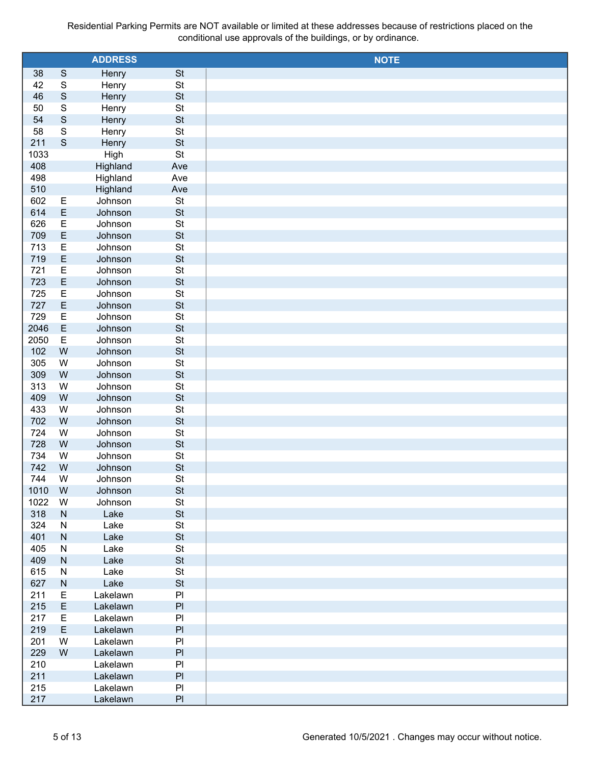|            |                         | <b>ADDRESS</b> |                            | <b>NOTE</b> |
|------------|-------------------------|----------------|----------------------------|-------------|
| 38         | $\mathsf S$             | Henry          | <b>St</b>                  |             |
| 42         | $\mathsf S$             | Henry          | $\mathsf{St}$              |             |
| 46         | $\mathsf S$             | Henry          | <b>St</b>                  |             |
| 50         | $\overline{\mathbf{S}}$ | Henry          | $\mathsf{St}$              |             |
| 54         | $\mathsf S$             | Henry          | <b>St</b>                  |             |
| 58         | $\overline{\mathbf{S}}$ | Henry          | St                         |             |
| 211        | $\mathbf S$             | Henry          | <b>St</b>                  |             |
| 1033       |                         | High           | St                         |             |
| 408        |                         | Highland       | Ave                        |             |
| 498        |                         | Highland       | Ave                        |             |
| 510        |                         | Highland       | Ave                        |             |
| 602        | E                       | Johnson        | $\mathsf{St}$              |             |
| 614        | $\mathsf E$             | Johnson        | <b>St</b>                  |             |
| 626        | E                       | Johnson        | St                         |             |
| 709        | $\mathsf E$             | Johnson        | <b>St</b>                  |             |
| 713        | E                       | Johnson        | St                         |             |
| 719        | $\mathsf E$             | Johnson        | <b>St</b>                  |             |
| 721        | E                       | Johnson        | St                         |             |
| 723        | $\mathsf E$             | Johnson        | <b>St</b>                  |             |
| 725        | E                       | Johnson        | <b>St</b>                  |             |
| 727        | $\mathsf E$             | Johnson        | <b>St</b>                  |             |
| 729        | E                       | Johnson        | <b>St</b>                  |             |
| 2046       | $\mathsf E$             | Johnson        | <b>St</b>                  |             |
| 2050       | $\mathsf E$             | Johnson        | <b>St</b>                  |             |
| 102        | W                       | Johnson        | <b>St</b>                  |             |
| 305        | W                       | Johnson        | St                         |             |
| 309        | ${\sf W}$               | Johnson        | <b>St</b>                  |             |
| 313        | W                       | Johnson        | St                         |             |
| 409        | ${\sf W}$               | Johnson        | <b>St</b>                  |             |
| 433        | W                       | Johnson        | <b>St</b>                  |             |
| 702        | ${\sf W}$               | Johnson        | <b>St</b>                  |             |
| 724        | W                       | Johnson        | <b>St</b>                  |             |
| 728        | ${\sf W}$               | Johnson        | <b>St</b>                  |             |
| 734        | W                       | Johnson        | <b>St</b>                  |             |
| 742        | W                       | Johnson        | <b>St</b>                  |             |
| 744        | W                       | Johnson        | <b>St</b>                  |             |
| 1010       | W                       | Johnson        | <b>St</b>                  |             |
| 1022       | W                       | Johnson        | $\mathsf{St}$              |             |
| 318        | ${\sf N}$               | Lake           | <b>St</b>                  |             |
| 324        | ${\sf N}$               | Lake           | $\mathsf{St}$              |             |
| 401        | ${\sf N}$               | Lake           | <b>St</b><br>$\mathsf{St}$ |             |
| 405<br>409 | ${\sf N}$               | Lake           | <b>St</b>                  |             |
| 615        | ${\sf N}$<br>${\sf N}$  | Lake<br>Lake   | $\mathsf{St}$              |             |
| 627        | $\mathsf{N}$            | Lake           | <b>St</b>                  |             |
| 211        | $\mathsf E$             | Lakelawn       | PI                         |             |
| 215        | $\mathsf E$             | Lakelawn       | $\mathsf{Pl}$              |             |
| 217        | $\mathsf E$             | Lakelawn       | P <sub>1</sub>             |             |
| 219        | $\mathsf E$             | Lakelawn       | $\mathsf{Pl}$              |             |
| 201        | W                       | Lakelawn       | P <sub>1</sub>             |             |
| 229        | W                       | Lakelawn       | $\mathsf{Pl}$              |             |
| 210        |                         | Lakelawn       | P <sub>1</sub>             |             |
| 211        |                         | Lakelawn       | $\mathsf{Pl}$              |             |
| 215        |                         | Lakelawn       | P <sub>1</sub>             |             |
| 217        |                         | Lakelawn       | P                          |             |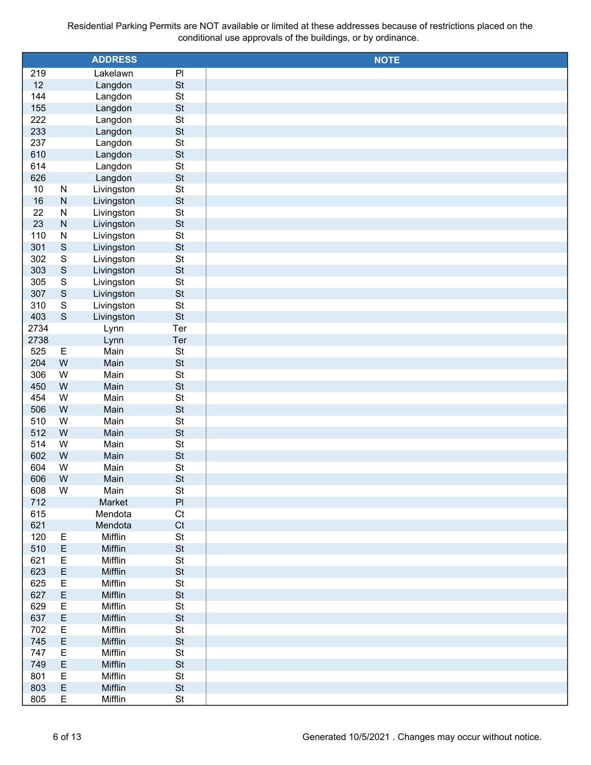|      |                         | <b>ADDRESS</b> |                | <b>NOTE</b> |
|------|-------------------------|----------------|----------------|-------------|
|      |                         |                |                |             |
| 219  |                         | Lakelawn       | PI             |             |
| 12   |                         | Langdon        | <b>St</b>      |             |
| 144  |                         | Langdon        | <b>St</b>      |             |
| 155  |                         | Langdon        | <b>St</b>      |             |
| 222  |                         | Langdon        | <b>St</b>      |             |
| 233  |                         | Langdon        | <b>St</b>      |             |
| 237  |                         | Langdon        | <b>St</b>      |             |
| 610  |                         | Langdon        | <b>St</b>      |             |
| 614  |                         | Langdon        | <b>St</b>      |             |
| 626  |                         | Langdon        | <b>St</b>      |             |
| 10   | ${\sf N}$               | Livingston     | <b>St</b>      |             |
| 16   | ${\sf N}$               | Livingston     | St             |             |
| 22   | ${\sf N}$               | Livingston     | <b>St</b>      |             |
| 23   | ${\sf N}$               | Livingston     | St             |             |
| 110  | ${\sf N}$               | Livingston     | <b>St</b>      |             |
| 301  | $\mathsf S$             | Livingston     | St             |             |
| 302  | $\overline{\mathsf{S}}$ | Livingston     | <b>St</b>      |             |
| 303  | $\mathsf S$             | Livingston     | St             |             |
| 305  | $\mathsf S$             | Livingston     | <b>St</b>      |             |
| 307  | $\mathsf S$             | Livingston     | <b>St</b>      |             |
| 310  | $\mathsf S$             | Livingston     | <b>St</b>      |             |
| 403  | $\mathsf S$             | Livingston     | <b>St</b>      |             |
| 2734 |                         | Lynn           | Ter            |             |
| 2738 |                         |                | Ter            |             |
|      |                         | Lynn           |                |             |
| 525  | Е                       | Main           | St             |             |
| 204  | ${\sf W}$               | Main           | St             |             |
| 306  | ${\sf W}$               | Main           | <b>St</b>      |             |
| 450  | ${\sf W}$               | Main           | St             |             |
| 454  | W                       | Main           | <b>St</b>      |             |
| 506  | W                       | Main           | <b>St</b>      |             |
| 510  | W                       | Main           | St             |             |
| 512  | W                       | Main           | <b>St</b>      |             |
| 514  | W                       | Main           | St             |             |
| 602  | W                       | Main           | <b>St</b>      |             |
| 604  | W                       | Main           | St             |             |
| 606  | W                       | Main           | <b>St</b>      |             |
| 608  | W                       | Main           | <b>St</b>      |             |
| 712  |                         | Market         | PI             |             |
| 615  |                         | Mendota        | C <sub>t</sub> |             |
| 621  |                         | Mendota        | Ct             |             |
| 120  | Ε                       | Mifflin        | St             |             |
| 510  | E                       | Mifflin        | <b>St</b>      |             |
| 621  | E                       | Mifflin        | <b>St</b>      |             |
| 623  | E                       | Mifflin        | <b>St</b>      |             |
| 625  | E                       | Mifflin        | <b>St</b>      |             |
| 627  | E                       | Mifflin        | <b>St</b>      |             |
| 629  | E                       | Mifflin        | <b>St</b>      |             |
| 637  | E                       | Mifflin        | <b>St</b>      |             |
| 702  | Ε                       | Mifflin        | <b>St</b>      |             |
| 745  | E                       | Mifflin        | <b>St</b>      |             |
|      |                         |                |                |             |
| 747  | E                       | Mifflin        | St             |             |
| 749  | E                       | Mifflin        | <b>St</b>      |             |
| 801  | E                       | Mifflin        | St             |             |
| 803  | E                       | Mifflin        | <b>St</b>      |             |
| 805  | E                       | Mifflin        | St             |             |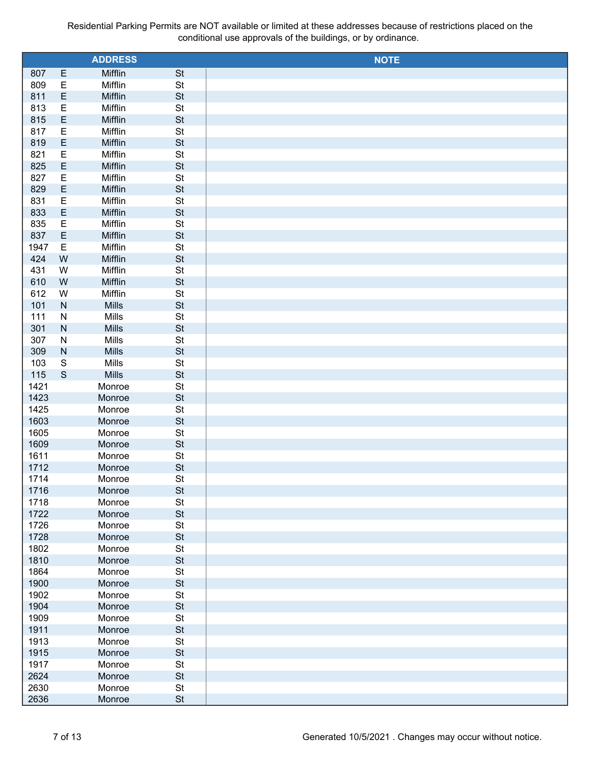|              |               | <b>ADDRESS</b>  |                 | <b>NOTE</b> |
|--------------|---------------|-----------------|-----------------|-------------|
| 807          | E             | Mifflin         | <b>St</b>       |             |
| 809          | Ε             | Mifflin         | St              |             |
| 811          | E             | Mifflin         | <b>St</b>       |             |
| 813          | Ε             | Mifflin         | St              |             |
| 815          | E             | Mifflin         | <b>St</b>       |             |
| 817          | Ε             | Mifflin         | St              |             |
| 819          | E             | Mifflin         | <b>St</b>       |             |
| 821          | Ε             | Mifflin         | St              |             |
| 825          | E             | Mifflin         | <b>St</b>       |             |
| 827          | Ε             | Mifflin         | St              |             |
| 829          | E             | Mifflin         | <b>St</b>       |             |
| 831          | Ε             | Mifflin         | St              |             |
| 833          | E             | Mifflin         | <b>St</b>       |             |
| 835          | Ε             | Mifflin         | St              |             |
| 837          | E             | Mifflin         | <b>St</b>       |             |
| 1947         | E             | Mifflin         | St              |             |
| 424          | ${\sf W}$     | Mifflin         | <b>St</b>       |             |
| 431          | W             | Mifflin         | St              |             |
| 610          | W             | Mifflin         | <b>St</b>       |             |
| 612          | W             | Mifflin         | St              |             |
| 101          | ${\sf N}$     | Mills           | <b>St</b>       |             |
| 111          | ${\sf N}$     | Mills           | St              |             |
| 301          | ${\sf N}$     | Mills           | <b>St</b>       |             |
| 307          | ${\sf N}$     | Mills           | St              |             |
| 309          | ${\sf N}$     | Mills           | <b>St</b>       |             |
| 103          | ${\mathsf S}$ | Mills           | St              |             |
| 115          | $\mathsf S$   | Mills<br>Monroe | <b>St</b><br>St |             |
| 1421<br>1423 |               | Monroe          | <b>St</b>       |             |
| 1425         |               | Monroe          | St              |             |
| 1603         |               | Monroe          | <b>St</b>       |             |
| 1605         |               | Monroe          | St              |             |
| 1609         |               | Monroe          | <b>St</b>       |             |
| 1611         |               | Monroe          | St              |             |
| 1712         |               | Monroe          | <b>St</b>       |             |
| 1714         |               | Monroe          | St              |             |
| 1716         |               | Monroe          | St              |             |
| 1718         |               | Monroe          | St              |             |
| 1722         |               | Monroe          | St              |             |
| 1726         |               | Monroe          | St              |             |
| 1728         |               | Monroe          | St              |             |
| 1802         |               | Monroe          | St              |             |
| 1810         |               | Monroe          | St              |             |
| 1864         |               | Monroe          | St              |             |
| 1900         |               | Monroe          | St              |             |
| 1902         |               | Monroe          | St              |             |
| 1904         |               | Monroe          | <b>St</b>       |             |
| 1909         |               | Monroe          | St              |             |
| 1911         |               | Monroe          | <b>St</b>       |             |
| 1913         |               | Monroe          | St              |             |
| 1915         |               | Monroe          | St              |             |
| 1917         |               | Monroe          | St              |             |
| 2624         |               | Monroe          | St              |             |
| 2630         |               | Monroe          | St              |             |
| 2636         |               | Monroe          | <b>St</b>       |             |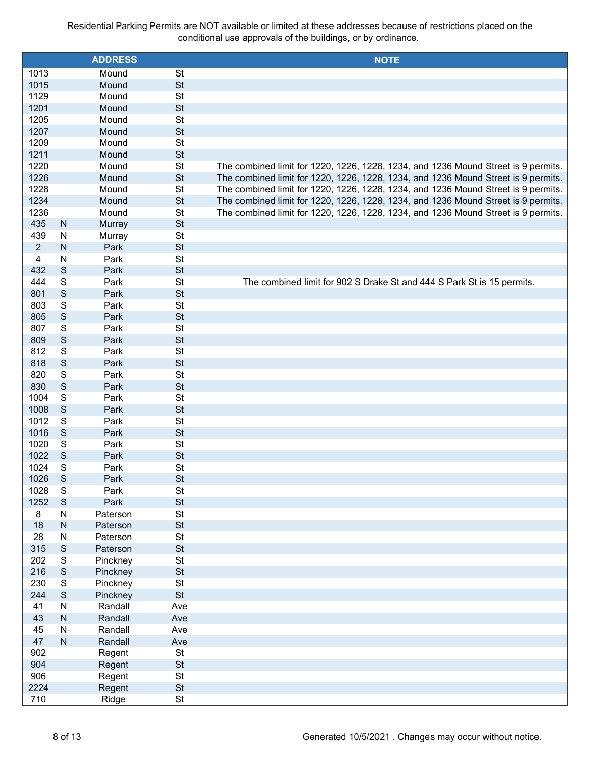|                |                | <b>ADDRESS</b>       |                 | <b>NOTE</b>                                                                        |
|----------------|----------------|----------------------|-----------------|------------------------------------------------------------------------------------|
| 1013           |                | Mound                | <b>St</b>       |                                                                                    |
| 1015           |                | Mound                | <b>St</b>       |                                                                                    |
| 1129           |                | Mound                | <b>St</b>       |                                                                                    |
| 1201           |                | Mound                | <b>St</b>       |                                                                                    |
| 1205           |                | Mound                | <b>St</b>       |                                                                                    |
| 1207           |                | Mound                | <b>St</b>       |                                                                                    |
| 1209           |                | Mound                | <b>St</b>       |                                                                                    |
| 1211           |                | Mound                | <b>St</b>       |                                                                                    |
| 1220           |                | Mound                | <b>St</b>       | The combined limit for 1220, 1226, 1228, 1234, and 1236 Mound Street is 9 permits. |
| 1226           |                | Mound                | <b>St</b>       | The combined limit for 1220, 1226, 1228, 1234, and 1236 Mound Street is 9 permits. |
| 1228           |                | Mound                | <b>St</b>       | The combined limit for 1220, 1226, 1228, 1234, and 1236 Mound Street is 9 permits. |
| 1234           |                | Mound                | <b>St</b>       | The combined limit for 1220, 1226, 1228, 1234, and 1236 Mound Street is 9 permits. |
| 1236           |                | Mound                | <b>St</b>       | The combined limit for 1220, 1226, 1228, 1234, and 1236 Mound Street is 9 permits. |
| 435            | ${\sf N}$      | Murray               | <b>St</b>       |                                                                                    |
| 439            | ${\sf N}$      | Murray               | <b>St</b>       |                                                                                    |
| $\overline{2}$ | ${\sf N}$      | Park                 | <b>St</b>       |                                                                                    |
| 4              | N              | Park                 | <b>St</b>       |                                                                                    |
| 432            | $\mathsf S$    | Park                 | <b>St</b>       |                                                                                    |
| 444            | $\mathbb S$    | Park                 | <b>St</b>       | The combined limit for 902 S Drake St and 444 S Park St is 15 permits.             |
| 801            | $\mathsf{S}$   | Park                 | <b>St</b>       |                                                                                    |
| 803            | S              | Park                 | <b>St</b>       |                                                                                    |
| 805            | $\mathbb S$    | Park                 | <b>St</b>       |                                                                                    |
| 807            | S              | Park                 | <b>St</b>       |                                                                                    |
| 809            | $\mathsf S$    | Park                 | <b>St</b>       |                                                                                    |
| 812            | S              | Park                 | <b>St</b>       |                                                                                    |
| 818            | $\mathbb S$    | Park                 | <b>St</b>       |                                                                                    |
| 820            | S              | Park                 | <b>St</b>       |                                                                                    |
| 830            | $\mathsf{S}$   | Park                 | <b>St</b>       |                                                                                    |
| 1004           | $\mathbb S$    | Park                 | <b>St</b>       |                                                                                    |
| 1008           | $\mathsf S$    | Park                 | <b>St</b>       |                                                                                    |
| 1012           | S              | Park                 | <b>St</b>       |                                                                                    |
| 1016           | $\mathsf S$    | Park                 | <b>St</b>       |                                                                                    |
| 1020           | $\mathbb S$    | Park                 | <b>St</b>       |                                                                                    |
| 1022           | $\mathbb S$    | Park                 | <b>St</b>       |                                                                                    |
| 1024           | $\mathbb S$    | Park                 | <b>St</b>       |                                                                                    |
| 1026           | S              | Park                 | <b>St</b>       |                                                                                    |
| 1028           | $\mathbf S$    | Park                 | <b>St</b>       |                                                                                    |
| 1252           | ${\mathsf S}$  | Park                 | <b>St</b>       |                                                                                    |
| 8              | N              | Paterson             | St              |                                                                                    |
| 18<br>28       | ${\sf N}$<br>N | Paterson<br>Paterson | <b>St</b><br>St |                                                                                    |
| 315            | $\mathbf S$    | Paterson             | <b>St</b>       |                                                                                    |
| 202            | ${\mathsf S}$  | Pinckney             | St              |                                                                                    |
| 216            | $\mathbf S$    | Pinckney             | <b>St</b>       |                                                                                    |
| 230            | ${\mathsf S}$  | Pinckney             | St              |                                                                                    |
| 244            | $\mathbf S$    | Pinckney             | <b>St</b>       |                                                                                    |
| 41             | ${\sf N}$      | Randall              | Ave             |                                                                                    |
| 43             | ${\sf N}$      | Randall              | Ave             |                                                                                    |
| 45             | N              | Randall              | Ave             |                                                                                    |
| 47             | ${\sf N}$      | Randall              | Ave             |                                                                                    |
| 902            |                | Regent               | <b>St</b>       |                                                                                    |
| 904            |                | Regent               | <b>St</b>       |                                                                                    |
| 906            |                | Regent               | <b>St</b>       |                                                                                    |
| 2224           |                | Regent               | <b>St</b>       |                                                                                    |
| 710            |                | Ridge                | <b>St</b>       |                                                                                    |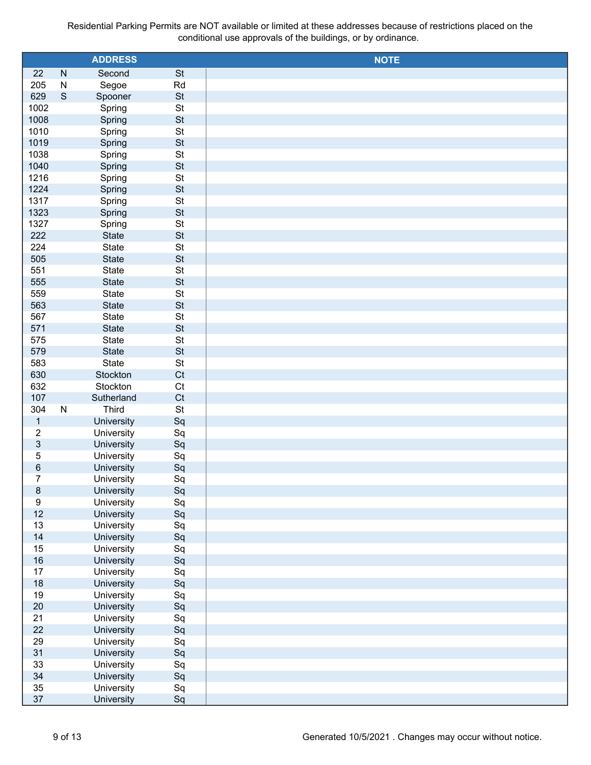|                  |             | <b>ADDRESS</b>           |                 | <b>NOTE</b> |
|------------------|-------------|--------------------------|-----------------|-------------|
| 22               | ${\sf N}$   | Second                   | <b>St</b>       |             |
| 205              | ${\sf N}$   | Segoe                    | Rd              |             |
| 629              | $\mathsf S$ | Spooner                  | St              |             |
| 1002             |             | Spring                   | <b>St</b>       |             |
| 1008             |             | Spring                   | St              |             |
| 1010             |             | Spring                   | <b>St</b>       |             |
| 1019             |             | Spring                   | St              |             |
| 1038             |             | Spring                   | <b>St</b>       |             |
| 1040             |             | Spring                   | St              |             |
| 1216             |             | Spring                   | <b>St</b>       |             |
| 1224             |             | Spring                   | St              |             |
| 1317             |             | Spring                   | <b>St</b>       |             |
| 1323             |             | Spring                   | St              |             |
| 1327             |             | Spring                   | <b>St</b><br>St |             |
| 222              |             | State                    | <b>St</b>       |             |
| 224<br>505       |             | State<br>State           | St              |             |
| 551              |             | State                    | <b>St</b>       |             |
| 555              |             | State                    | St              |             |
| 559              |             | State                    | <b>St</b>       |             |
| 563              |             | State                    | St              |             |
| 567              |             | State                    | <b>St</b>       |             |
| 571              |             | State                    | St              |             |
| 575              |             | State                    | <b>St</b>       |             |
| 579              |             | State                    | St              |             |
| 583              |             | State                    | <b>St</b>       |             |
| 630              |             | Stockton                 | Ct              |             |
| 632              |             | Stockton                 | Ct              |             |
| 107              |             | Sutherland               | Ct              |             |
| 304              | ${\sf N}$   | Third                    | St              |             |
| $\mathbf{1}$     |             | University               | Sq              |             |
| $\overline{c}$   |             | University               | Sq              |             |
| $\sqrt{3}$       |             | University               | Sq              |             |
| $\overline{5}$   |             | University               | Sq              |             |
| $\,6\,$          |             | University               | Sq              |             |
| $\overline{7}$   |             | University               | Sq              |             |
| $\,8\,$          |             | University               | Sq              |             |
| $\boldsymbol{9}$ |             | University               | Sq              |             |
| 12               |             | University               | Sq              |             |
| 13               |             | University               | Sq              |             |
| 14               |             | University               | Sq              |             |
| 15               |             | University               | Sq              |             |
| 16               |             | University               | Sq              |             |
| 17               |             | University               | Sq              |             |
| 18               |             | University               | Sq              |             |
| 19               |             | University               | Sq              |             |
| 20<br>21         |             | University               | Sq              |             |
| 22               |             | University<br>University | Sq<br>Sq        |             |
| 29               |             | University               |                 |             |
| 31               |             | University               | Sq<br>Sq        |             |
| 33               |             | University               | Sq              |             |
| 34               |             | University               | Sq              |             |
| 35               |             | University               | Sq              |             |
| 37               |             | University               | Sq              |             |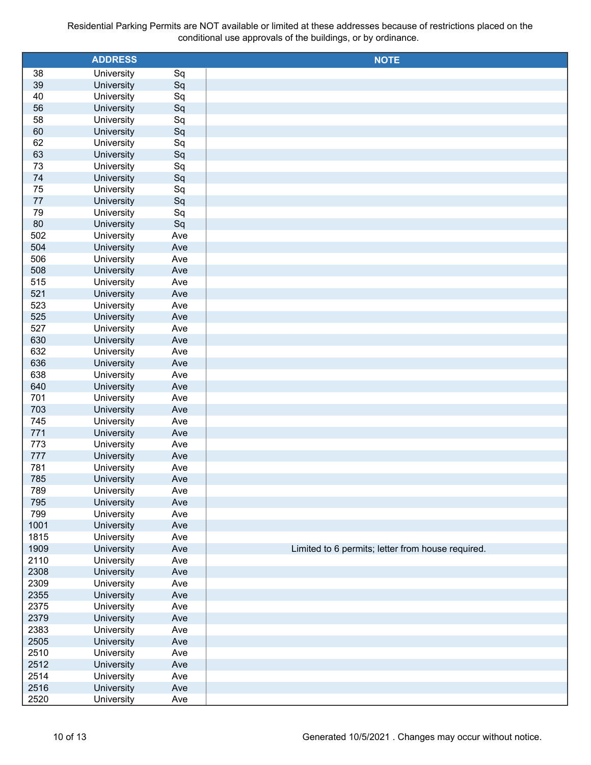|              | <b>ADDRESS</b>           |            | <b>NOTE</b>                                       |
|--------------|--------------------------|------------|---------------------------------------------------|
| 38           | University               | Sq         |                                                   |
| 39           | University               | Sq         |                                                   |
| 40           | University               | Sq         |                                                   |
| 56           | University               | Sq         |                                                   |
| 58           | University               | Sq         |                                                   |
| 60           | University               | Sq         |                                                   |
| 62           | University               | Sq         |                                                   |
| 63           | University               | Sq         |                                                   |
| 73           | University               | Sq         |                                                   |
| 74           | University               | Sq         |                                                   |
| 75           | University               | Sq         |                                                   |
| 77           | University               | Sq         |                                                   |
| 79           | University               | Sq         |                                                   |
| 80           | University               | Sq         |                                                   |
| 502          | University               | Ave        |                                                   |
| 504          | University               | Ave        |                                                   |
| 506          | University               | Ave        |                                                   |
| 508          | University               | Ave        |                                                   |
| 515          | University               | Ave        |                                                   |
| 521          | University               | Ave        |                                                   |
| 523          | University               | Ave        |                                                   |
| 525          | University               | Ave        |                                                   |
| 527          | University               | Ave        |                                                   |
| 630          | University               | Ave        |                                                   |
| 632          | University               | Ave        |                                                   |
| 636          | University               | Ave        |                                                   |
| 638          | University               | Ave        |                                                   |
| 640          | University               | Ave        |                                                   |
| 701          | University               | Ave        |                                                   |
| 703          | University               | Ave        |                                                   |
| 745          | University               | Ave        |                                                   |
| 771          | University               | Ave        |                                                   |
| 773          | University               | Ave        |                                                   |
| 777          | University               | Ave        |                                                   |
| 781          | University               | Ave        |                                                   |
| 785          | University               | Ave        |                                                   |
| 789          | University               | Ave        |                                                   |
| 795<br>799   | University               | Ave        |                                                   |
|              | University               | Ave        |                                                   |
| 1001<br>1815 | University<br>University | Ave        |                                                   |
| 1909         | University               | Ave<br>Ave | Limited to 6 permits; letter from house required. |
| 2110         | University               | Ave        |                                                   |
| 2308         | University               | Ave        |                                                   |
| 2309         | University               | Ave        |                                                   |
| 2355         | University               | Ave        |                                                   |
| 2375         | University               | Ave        |                                                   |
| 2379         | University               | Ave        |                                                   |
| 2383         | University               | Ave        |                                                   |
| 2505         | University               | Ave        |                                                   |
| 2510         | University               | Ave        |                                                   |
| 2512         | University               | Ave        |                                                   |
| 2514         | University               | Ave        |                                                   |
| 2516         | University               | Ave        |                                                   |
| 2520         | University               | Ave        |                                                   |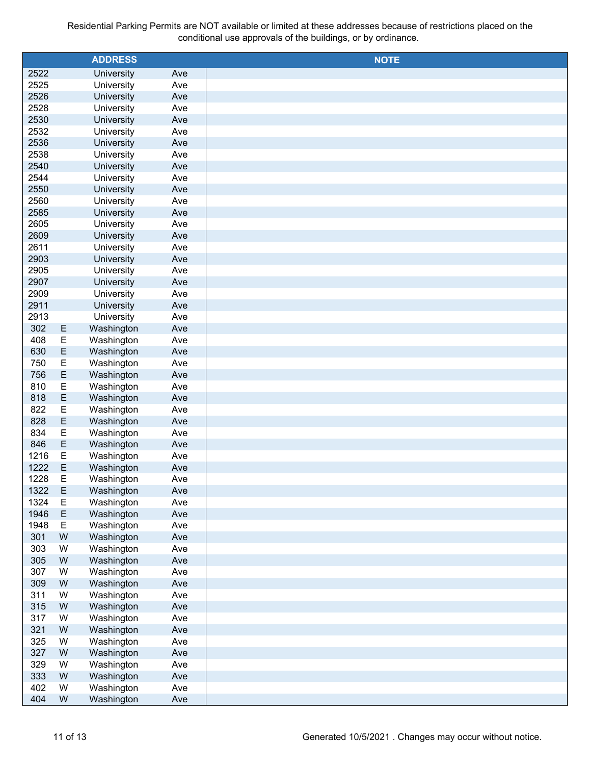|              |             | <b>ADDRESS</b>           |            | <b>NOTE</b> |
|--------------|-------------|--------------------------|------------|-------------|
| 2522         |             | University               | Ave        |             |
| 2525         |             | University               | Ave        |             |
| 2526         |             | University               | Ave        |             |
| 2528         |             | University               | Ave        |             |
| 2530         |             | University               | Ave        |             |
| 2532         |             | University               | Ave        |             |
| 2536         |             | University               | Ave        |             |
| 2538         |             | University               | Ave        |             |
| 2540         |             | University               | Ave        |             |
| 2544         |             | University               | Ave        |             |
| 2550         |             | University               | Ave        |             |
| 2560         |             | University               | Ave        |             |
| 2585         |             | University               | Ave        |             |
| 2605         |             | University               | Ave        |             |
| 2609         |             | University               | Ave        |             |
| 2611         |             | University               | Ave        |             |
| 2903         |             | University               | Ave        |             |
| 2905         |             | University               | Ave        |             |
| 2907         |             | University<br>University | Ave        |             |
| 2909<br>2911 |             | University               | Ave<br>Ave |             |
| 2913         |             | University               | Ave        |             |
| 302          | E           | Washington               | Ave        |             |
| 408          | E           | Washington               | Ave        |             |
| 630          | E           | Washington               | Ave        |             |
| 750          | E           | Washington               | Ave        |             |
| 756          | E           | Washington               | Ave        |             |
| 810          | E           | Washington               | Ave        |             |
| 818          | E           | Washington               | Ave        |             |
| 822          | E           | Washington               | Ave        |             |
| 828          | E           | Washington               | Ave        |             |
| 834          | E           | Washington               | Ave        |             |
| 846          | E           | Washington               | Ave        |             |
| 1216         | E           | Washington               | Ave        |             |
| 1222         | E           | Washington               | Ave        |             |
| 1228         | Ε           | Washington               | Ave        |             |
| 1322         | $\mathsf E$ | Washington               | Ave        |             |
| 1324         | $\mathsf E$ | Washington               | Ave        |             |
| 1946         | $\mathsf E$ | Washington               | Ave        |             |
| 1948         | $\mathsf E$ | Washington               | Ave        |             |
| 301          | W           | Washington               | Ave        |             |
| 303          | W           | Washington               | Ave        |             |
| 305          | W           | Washington               | Ave        |             |
| 307          | W           | Washington               | Ave        |             |
| 309          | W           | Washington               | Ave        |             |
| 311          | W           | Washington               | Ave        |             |
| 315          | W           | Washington               | Ave        |             |
| 317          | W           | Washington               | Ave        |             |
| 321          | W           | Washington               | Ave        |             |
| 325<br>327   | W<br>W      | Washington<br>Washington | Ave<br>Ave |             |
| 329          | W           | Washington               | Ave        |             |
| 333          | W           | Washington               | Ave        |             |
| 402          | W           | Washington               | Ave        |             |
| 404          | W           | Washington               | Ave        |             |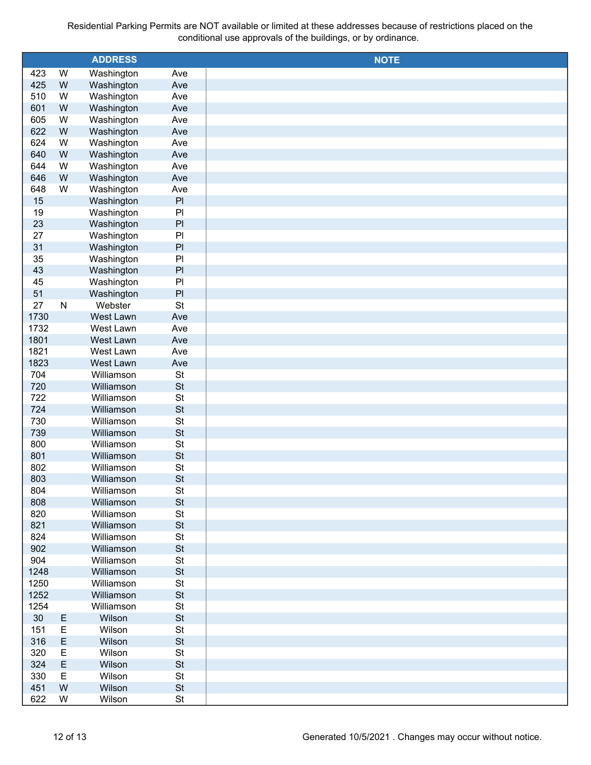|      |              | <b>ADDRESS</b> |                |             |
|------|--------------|----------------|----------------|-------------|
|      |              |                |                | <b>NOTE</b> |
| 423  | W            | Washington     | Ave            |             |
| 425  | W            | Washington     | Ave            |             |
| 510  | W            | Washington     | Ave            |             |
| 601  | W            | Washington     | Ave            |             |
| 605  | W            | Washington     | Ave            |             |
| 622  | W            | Washington     | Ave            |             |
| 624  | W            | Washington     | Ave            |             |
| 640  | W            | Washington     | Ave            |             |
| 644  | W            | Washington     | Ave            |             |
| 646  | W            | Washington     | Ave            |             |
| 648  | W            | Washington     | Ave            |             |
| 15   |              | Washington     | PI             |             |
| 19   |              | Washington     | P <sub>1</sub> |             |
| 23   |              | Washington     | PI             |             |
| 27   |              | Washington     | P <sub>1</sub> |             |
| 31   |              | Washington     | PI             |             |
| 35   |              | Washington     | P <sub>1</sub> |             |
| 43   |              | Washington     | PI             |             |
| 45   |              | Washington     | P <sub>1</sub> |             |
| 51   |              | Washington     | PI             |             |
| 27   | $\mathsf{N}$ | Webster        | <b>St</b>      |             |
| 1730 |              | West Lawn      | Ave            |             |
| 1732 |              | West Lawn      | Ave            |             |
| 1801 |              | West Lawn      | Ave            |             |
| 1821 |              | West Lawn      | Ave            |             |
| 1823 |              | West Lawn      | Ave            |             |
| 704  |              | Williamson     | <b>St</b>      |             |
| 720  |              | Williamson     | <b>St</b>      |             |
| 722  |              | Williamson     | <b>St</b>      |             |
| 724  |              | Williamson     | <b>St</b>      |             |
| 730  |              | Williamson     | <b>St</b>      |             |
| 739  |              | Williamson     | <b>St</b>      |             |
| 800  |              | Williamson     | <b>St</b>      |             |
| 801  |              | Williamson     | <b>St</b>      |             |
| 802  |              | Williamson     | <b>St</b>      |             |
|      |              | Williamson     | <b>St</b>      |             |
| 803  |              |                |                |             |
| 804  |              | Williamson     | <b>St</b>      |             |
| 808  |              | Williamson     | <b>St</b>      |             |
| 820  |              | Williamson     | St             |             |
| 821  |              | Williamson     | <b>St</b>      |             |
| 824  |              | Williamson     | <b>St</b>      |             |
| 902  |              | Williamson     | <b>St</b>      |             |
| 904  |              | Williamson     | <b>St</b>      |             |
| 1248 |              | Williamson     | <b>St</b>      |             |
| 1250 |              | Williamson     | St             |             |
| 1252 |              | Williamson     | <b>St</b>      |             |
| 1254 |              | Williamson     | St             |             |
| 30   | Ε            | Wilson         | <b>St</b>      |             |
| 151  | E            | Wilson         | St             |             |
| 316  | E            | Wilson         | <b>St</b>      |             |
| 320  | E            | Wilson         | St             |             |
| 324  | E            | Wilson         | <b>St</b>      |             |
| 330  | Ε            | Wilson         | St             |             |
| 451  | W            | Wilson         | <b>St</b>      |             |
| 622  | W            | Wilson         | St             |             |